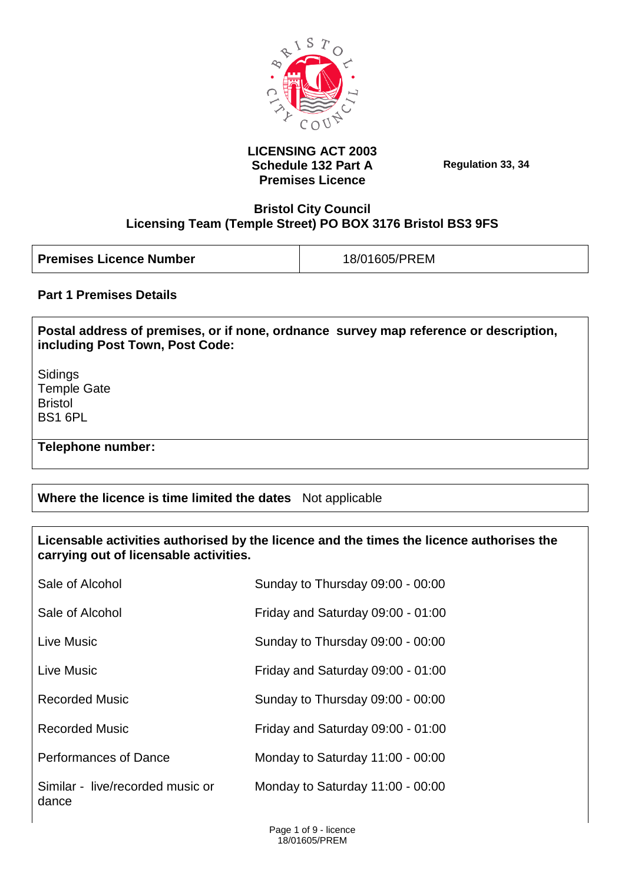

### **LICENSING ACT 2003 Schedule 132 Part A Premises Licence**

**Regulation 33, 34**

### **Bristol City Council Licensing Team (Temple Street) PO BOX 3176 Bristol BS3 9FS**

| <b>Premises Licence Number</b> | 18/01605/PREM |
|--------------------------------|---------------|
|                                |               |

### **Part 1 Premises Details**

**Postal address of premises, or if none, ordnance survey map reference or description, including Post Town, Post Code:**

Sidings Temple Gate Bristol BS1 6PL

**Telephone number:** 

# **Where the licence is time limited the dates** Not applicable

#### **Licensable activities authorised by the licence and the times the licence authorises the carrying out of licensable activities.**

| Sale of Alcohol                           | Sunday to Thursday 09:00 - 00:00  |
|-------------------------------------------|-----------------------------------|
| Sale of Alcohol                           | Friday and Saturday 09:00 - 01:00 |
| Live Music                                | Sunday to Thursday 09:00 - 00:00  |
| Live Music                                | Friday and Saturday 09:00 - 01:00 |
| <b>Recorded Music</b>                     | Sunday to Thursday 09:00 - 00:00  |
| <b>Recorded Music</b>                     | Friday and Saturday 09:00 - 01:00 |
| <b>Performances of Dance</b>              | Monday to Saturday 11:00 - 00:00  |
| Similar - live/recorded music or<br>dance | Monday to Saturday 11:00 - 00:00  |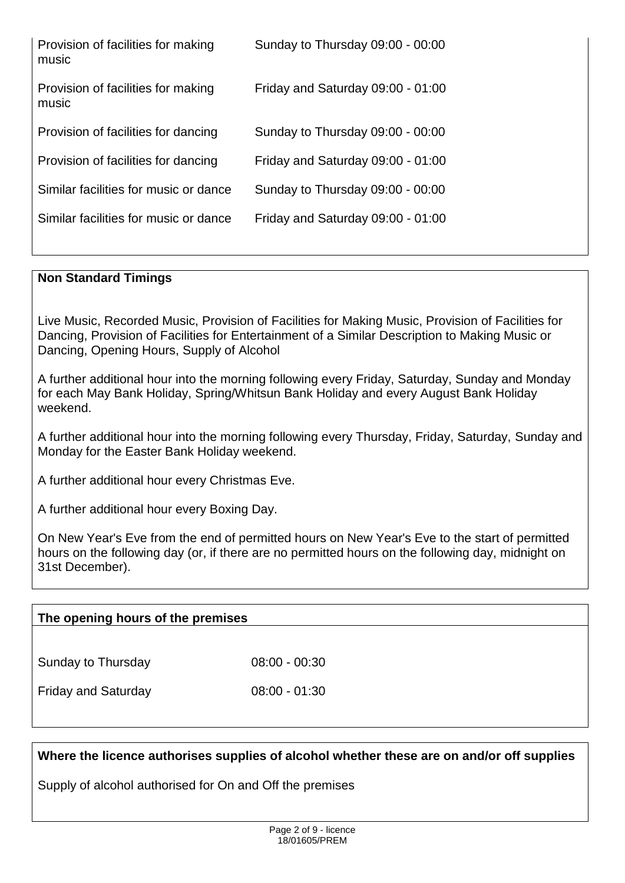| Provision of facilities for making<br>music | Sunday to Thursday 09:00 - 00:00  |
|---------------------------------------------|-----------------------------------|
| Provision of facilities for making<br>music | Friday and Saturday 09:00 - 01:00 |
| Provision of facilities for dancing         | Sunday to Thursday 09:00 - 00:00  |
| Provision of facilities for dancing         | Friday and Saturday 09:00 - 01:00 |
| Similar facilities for music or dance       | Sunday to Thursday 09:00 - 00:00  |
| Similar facilities for music or dance       | Friday and Saturday 09:00 - 01:00 |
|                                             |                                   |

### **Non Standard Timings**

Live Music, Recorded Music, Provision of Facilities for Making Music, Provision of Facilities for Dancing, Provision of Facilities for Entertainment of a Similar Description to Making Music or Dancing, Opening Hours, Supply of Alcohol

A further additional hour into the morning following every Friday, Saturday, Sunday and Monday for each May Bank Holiday, Spring/Whitsun Bank Holiday and every August Bank Holiday weekend.

A further additional hour into the morning following every Thursday, Friday, Saturday, Sunday and Monday for the Easter Bank Holiday weekend.

A further additional hour every Christmas Eve.

A further additional hour every Boxing Day.

On New Year's Eve from the end of permitted hours on New Year's Eve to the start of permitted hours on the following day (or, if there are no permitted hours on the following day, midnight on 31st December).

#### **The opening hours of the premises**

Sunday to Thursday 08:00 - 00:30

Friday and Saturday 08:00 - 01:30

**Where the licence authorises supplies of alcohol whether these are on and/or off supplies**

Supply of alcohol authorised for On and Off the premises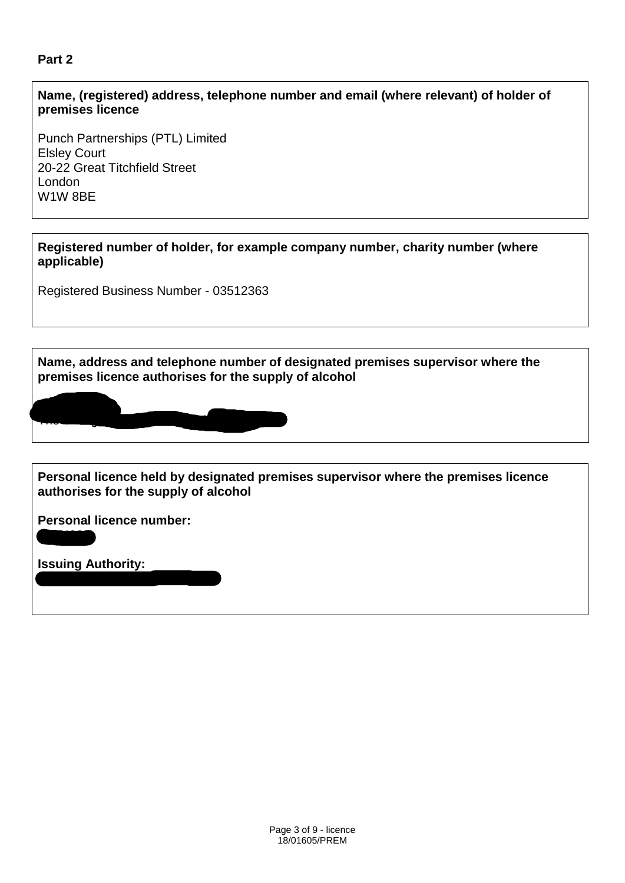# **Part 2**

#### **Name, (registered) address, telephone number and email (where relevant) of holder of premises licence**

Punch Partnerships (PTL) Limited Elsley Court 20-22 Great Titchfield Street London W1W 8BE

**Registered number of holder, for example company number, charity number (where applicable)**

Registered Business Number - 03512363

**Name, address and telephone number of designated premises supervisor where the premises licence authorises for the supply of alcohol**



**Personal licence held by designated premises supervisor where the premises licence authorises for the supply of alcohol**

**Personal licence number:** 

Bournemouth Borough Council

**Issuing Authority:** 

062403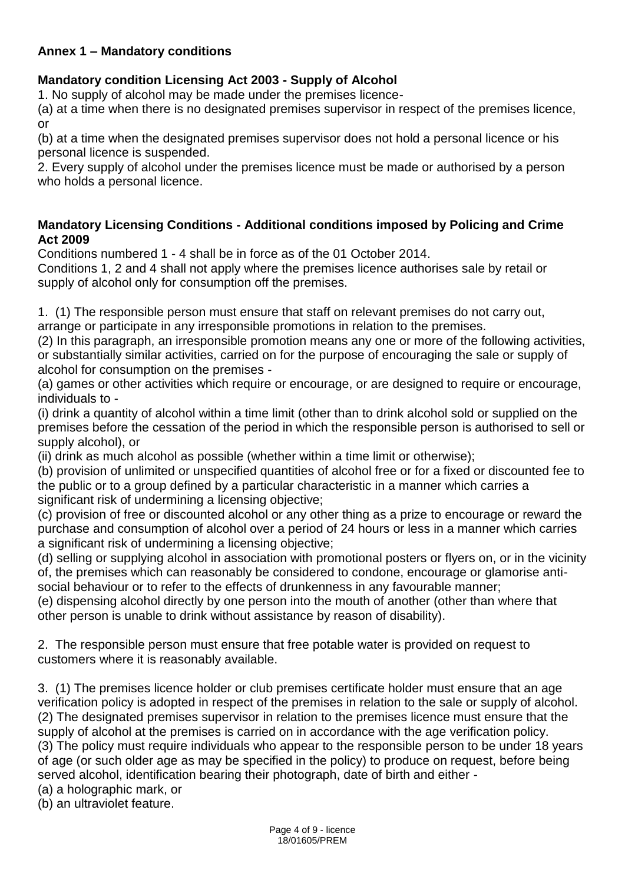# **Annex 1 – Mandatory conditions**

# **Mandatory condition Licensing Act 2003 - Supply of Alcohol**

1. No supply of alcohol may be made under the premises licence-

(a) at a time when there is no designated premises supervisor in respect of the premises licence, or

(b) at a time when the designated premises supervisor does not hold a personal licence or his personal licence is suspended.

2. Every supply of alcohol under the premises licence must be made or authorised by a person who holds a personal licence.

### **Mandatory Licensing Conditions - Additional conditions imposed by Policing and Crime Act 2009**

Conditions numbered 1 - 4 shall be in force as of the 01 October 2014.

Conditions 1, 2 and 4 shall not apply where the premises licence authorises sale by retail or supply of alcohol only for consumption off the premises.

1. (1) The responsible person must ensure that staff on relevant premises do not carry out, arrange or participate in any irresponsible promotions in relation to the premises.

(2) In this paragraph, an irresponsible promotion means any one or more of the following activities, or substantially similar activities, carried on for the purpose of encouraging the sale or supply of alcohol for consumption on the premises -

(a) games or other activities which require or encourage, or are designed to require or encourage, individuals to -

(i) drink a quantity of alcohol within a time limit (other than to drink alcohol sold or supplied on the premises before the cessation of the period in which the responsible person is authorised to sell or supply alcohol), or

(ii) drink as much alcohol as possible (whether within a time limit or otherwise);

(b) provision of unlimited or unspecified quantities of alcohol free or for a fixed or discounted fee to the public or to a group defined by a particular characteristic in a manner which carries a significant risk of undermining a licensing objective;

(c) provision of free or discounted alcohol or any other thing as a prize to encourage or reward the purchase and consumption of alcohol over a period of 24 hours or less in a manner which carries a significant risk of undermining a licensing objective;

(d) selling or supplying alcohol in association with promotional posters or flyers on, or in the vicinity of, the premises which can reasonably be considered to condone, encourage or glamorise antisocial behaviour or to refer to the effects of drunkenness in any favourable manner;

(e) dispensing alcohol directly by one person into the mouth of another (other than where that other person is unable to drink without assistance by reason of disability).

2. The responsible person must ensure that free potable water is provided on request to customers where it is reasonably available.

3. (1) The premises licence holder or club premises certificate holder must ensure that an age verification policy is adopted in respect of the premises in relation to the sale or supply of alcohol. (2) The designated premises supervisor in relation to the premises licence must ensure that the supply of alcohol at the premises is carried on in accordance with the age verification policy. (3) The policy must require individuals who appear to the responsible person to be under 18 years of age (or such older age as may be specified in the policy) to produce on request, before being served alcohol, identification bearing their photograph, date of birth and either -

(a) a holographic mark, or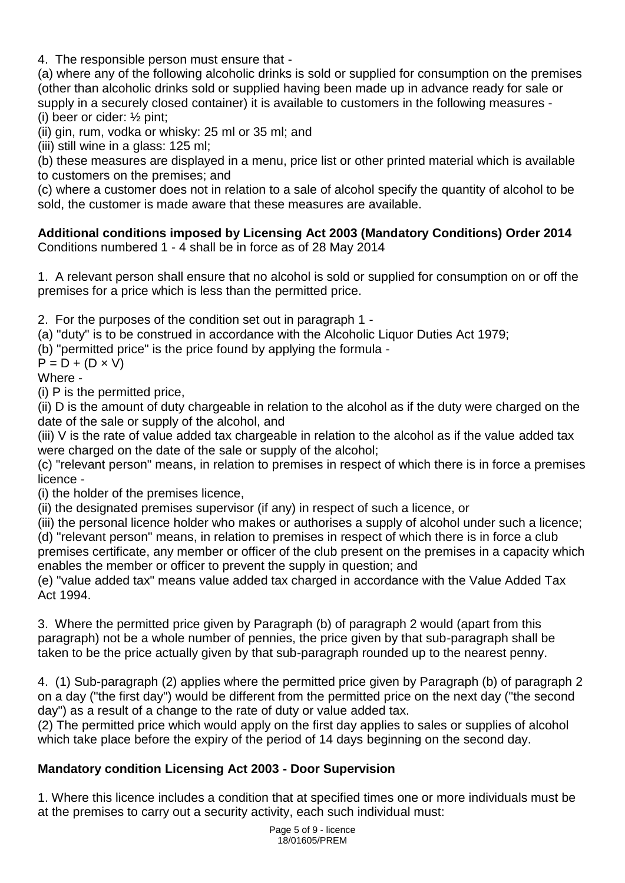4. The responsible person must ensure that -

(a) where any of the following alcoholic drinks is sold or supplied for consumption on the premises (other than alcoholic drinks sold or supplied having been made up in advance ready for sale or supply in a securely closed container) it is available to customers in the following measures - (i) beer or cider: ½ pint;

(ii) gin, rum, vodka or whisky: 25 ml or 35 ml; and

(iii) still wine in a glass: 125 ml;

(b) these measures are displayed in a menu, price list or other printed material which is available to customers on the premises; and

(c) where a customer does not in relation to a sale of alcohol specify the quantity of alcohol to be sold, the customer is made aware that these measures are available.

#### **Additional conditions imposed by Licensing Act 2003 (Mandatory Conditions) Order 2014** Conditions numbered 1 - 4 shall be in force as of 28 May 2014

1. A relevant person shall ensure that no alcohol is sold or supplied for consumption on or off the premises for a price which is less than the permitted price.

2. For the purposes of the condition set out in paragraph 1 -

(a) "duty" is to be construed in accordance with the Alcoholic Liquor Duties Act 1979;

(b) "permitted price" is the price found by applying the formula -

 $P = D + (D \times V)$ 

Where -

(i) P is the permitted price,

(ii) D is the amount of duty chargeable in relation to the alcohol as if the duty were charged on the date of the sale or supply of the alcohol, and

(iii) V is the rate of value added tax chargeable in relation to the alcohol as if the value added tax were charged on the date of the sale or supply of the alcohol;

(c) "relevant person" means, in relation to premises in respect of which there is in force a premises licence -

(i) the holder of the premises licence,

(ii) the designated premises supervisor (if any) in respect of such a licence, or

(iii) the personal licence holder who makes or authorises a supply of alcohol under such a licence; (d) "relevant person" means, in relation to premises in respect of which there is in force a club premises certificate, any member or officer of the club present on the premises in a capacity which

enables the member or officer to prevent the supply in question; and

(e) "value added tax" means value added tax charged in accordance with the Value Added Tax Act 1994.

3. Where the permitted price given by Paragraph (b) of paragraph 2 would (apart from this paragraph) not be a whole number of pennies, the price given by that sub-paragraph shall be taken to be the price actually given by that sub-paragraph rounded up to the nearest penny.

4. (1) Sub-paragraph (2) applies where the permitted price given by Paragraph (b) of paragraph 2 on a day ("the first day") would be different from the permitted price on the next day ("the second day") as a result of a change to the rate of duty or value added tax.

(2) The permitted price which would apply on the first day applies to sales or supplies of alcohol which take place before the expiry of the period of 14 days beginning on the second day.

# **Mandatory condition Licensing Act 2003 - Door Supervision**

1. Where this licence includes a condition that at specified times one or more individuals must be at the premises to carry out a security activity, each such individual must: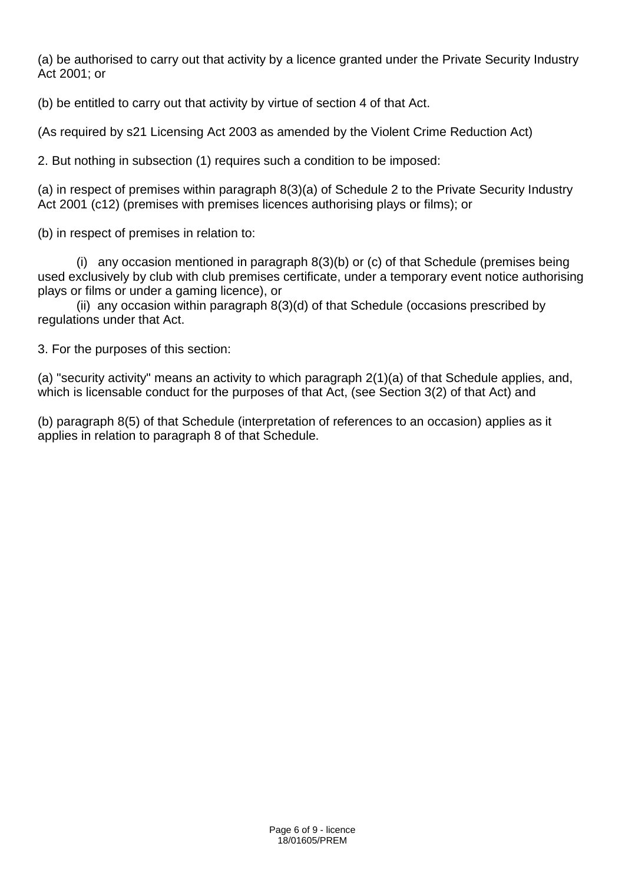(a) be authorised to carry out that activity by a licence granted under the Private Security Industry Act 2001; or

(b) be entitled to carry out that activity by virtue of section 4 of that Act.

(As required by s21 Licensing Act 2003 as amended by the Violent Crime Reduction Act)

2. But nothing in subsection (1) requires such a condition to be imposed:

(a) in respect of premises within paragraph 8(3)(a) of Schedule 2 to the Private Security Industry Act 2001 (c12) (premises with premises licences authorising plays or films); or

(b) in respect of premises in relation to:

 (i) any occasion mentioned in paragraph 8(3)(b) or (c) of that Schedule (premises being used exclusively by club with club premises certificate, under a temporary event notice authorising plays or films or under a gaming licence), or

 (ii) any occasion within paragraph 8(3)(d) of that Schedule (occasions prescribed by regulations under that Act.

3. For the purposes of this section:

(a) "security activity" means an activity to which paragraph 2(1)(a) of that Schedule applies, and, which is licensable conduct for the purposes of that Act, (see Section 3(2) of that Act) and

(b) paragraph 8(5) of that Schedule (interpretation of references to an occasion) applies as it applies in relation to paragraph 8 of that Schedule.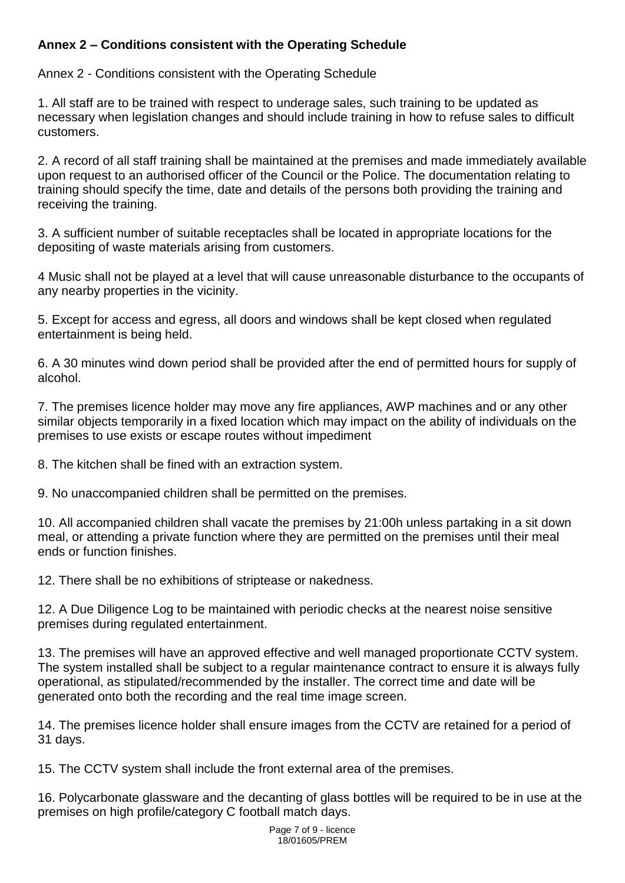# **Annex 2 – Conditions consistent with the Operating Schedule**

Annex 2 - Conditions consistent with the Operating Schedule

1. All staff are to be trained with respect to underage sales, such training to be updated as necessary when legislation changes and should include training in how to refuse sales to difficult customers.

2. A record of all staff training shall be maintained at the premises and made immediately available upon request to an authorised officer of the Council or the Police. The documentation relating to training should specify the time, date and details of the persons both providing the training and receiving the training.

3. A sufficient number of suitable receptacles shall be located in appropriate locations for the depositing of waste materials arising from customers.

4 Music shall not be played at a level that will cause unreasonable disturbance to the occupants of any nearby properties in the vicinity.

5. Except for access and egress, all doors and windows shall be kept closed when regulated entertainment is being held.

6. A 30 minutes wind down period shall be provided after the end of permitted hours for supply of alcohol.

7. The premises licence holder may move any fire appliances, AWP machines and or any other similar objects temporarily in a fixed location which may impact on the ability of individuals on the premises to use exists or escape routes without impediment

8. The kitchen shall be fined with an extraction system.

9. No unaccompanied children shall be permitted on the premises.

10. All accompanied children shall vacate the premises by 21:00h unless partaking in a sit down meal, or attending a private function where they are permitted on the premises until their meal ends or function finishes.

12. There shall be no exhibitions of striptease or nakedness.

12. A Due Diligence Log to be maintained with periodic checks at the nearest noise sensitive premises during regulated entertainment.

13. The premises will have an approved effective and well managed proportionate CCTV system. The system installed shall be subject to a regular maintenance contract to ensure it is always fully operational, as stipulated/recommended by the installer. The correct time and date will be generated onto both the recording and the real time image screen.

14. The premises licence holder shall ensure images from the CCTV are retained for a period of 31 days.

15. The CCTV system shall include the front external area of the premises.

16. Polycarbonate glassware and the decanting of glass bottles will be required to be in use at the premises on high profile/category C football match days.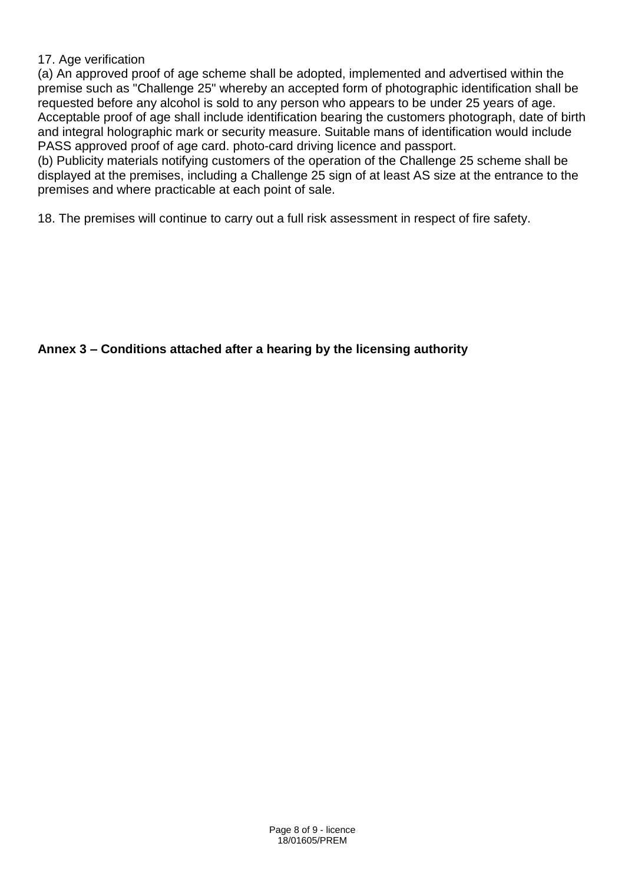# 17. Age verification

(a) An approved proof of age scheme shall be adopted, implemented and advertised within the premise such as "Challenge 25" whereby an accepted form of photographic identification shall be requested before any alcohol is sold to any person who appears to be under 25 years of age. Acceptable proof of age shall include identification bearing the customers photograph, date of birth and integral holographic mark or security measure. Suitable mans of identification would include PASS approved proof of age card. photo-card driving licence and passport.

(b) Publicity materials notifying customers of the operation of the Challenge 25 scheme shall be displayed at the premises, including a Challenge 25 sign of at least AS size at the entrance to the premises and where practicable at each point of sale.

18. The premises will continue to carry out a full risk assessment in respect of fire safety.

# **Annex 3 – Conditions attached after a hearing by the licensing authority**